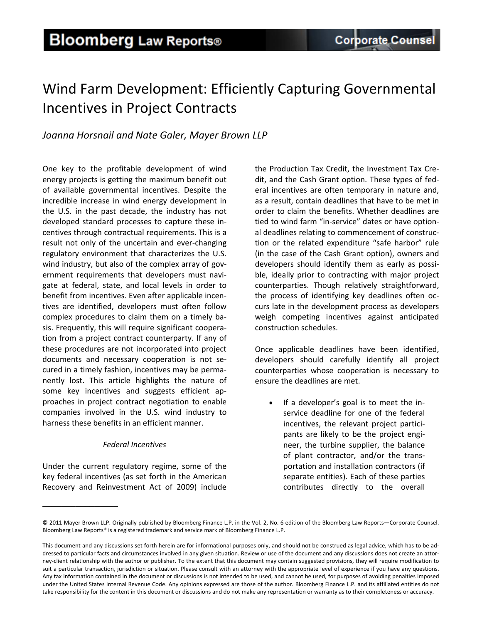## Wind Farm Development: Efficiently Capturing Governmental Incentives in Project Contracts

### *Joanna Horsnail and Nate Galer, Mayer Brown LLP*

One key to the profitable development of wind energy projects is getting the maximum benefit out of available governmental incentives. Despite the incredible increase in wind energy development in the U.S. in the past decade, the industry has not developed standard processes to capture these in‐ centives through contractual requirements. This is a result not only of the uncertain and ever‐changing regulatory environment that characterizes the U.S. wind industry, but also of the complex array of government requirements that developers must navi‐ gate at federal, state, and local levels in order to benefit from incentives. Even after applicable incen‐ tives are identified, developers must often follow complex procedures to claim them on a timely ba‐ sis. Frequently, this will require significant coopera‐ tion from a project contract counterparty. If any of these procedures are not incorporated into project documents and necessary cooperation is not se‐ cured in a timely fashion, incentives may be perma‐ nently lost. This article highlights the nature of some key incentives and suggests efficient approaches in project contract negotiation to enable companies involved in the U.S. wind industry to harness these benefits in an efficient manner.

### *Federal Incentives*

Under the current regulatory regime, some of the key federal incentives (as set forth in the American Recovery and Reinvestment Act of 2009) include

\_\_\_\_\_\_\_\_\_\_\_\_\_\_\_\_

the Production Tax Credit, the Investment Tax Cre‐ dit, and the Cash Grant option. These types of fed‐ eral incentives are often temporary in nature and, as a result, contain deadlines that have to be met in order to claim the benefits. Whether deadlines are tied to wind farm "in‐service" dates or have option‐ al deadlines relating to commencement of construc‐ tion or the related expenditure "safe harbor" rule (in the case of the Cash Grant option), owners and developers should identify them as early as possi‐ ble, ideally prior to contracting with major project counterparties. Though relatively straightforward, the process of identifying key deadlines often oc‐ curs late in the development process as developers weigh competing incentives against anticipated construction schedules.

Once applicable deadlines have been identified, developers should carefully identify all project counterparties whose cooperation is necessary to ensure the deadlines are met.

• If a developer's goal is to meet the inservice deadline for one of the federal incentives, the relevant project partici‐ pants are likely to be the project engi‐ neer, the turbine supplier, the balance of plant contractor, and/or the trans‐ portation and installation contractors (if separate entities). Each of these parties contributes directly to the overall

<sup>©</sup> 2011 Mayer Brown LLP. Originally published by Bloomberg Finance L.P. in the Vol. 2, No. 6 edition of the Bloomberg Law Reports—Corporate Counsel. Bloomberg Law Reports® is a registered trademark and service mark of Bloomberg Finance L.P.

This document and any discussions set forth herein are for informational purposes only, and should not be construed as legal advice, which has to be ad‐ dressed to particular facts and circumstances involved in any given situation. Review or use of the document and any discussions does not create an attorney-client relationship with the author or publisher. To the extent that this document may contain suggested provisions, they will require modification to suit a particular transaction, jurisdiction or situation. Please consult with an attorney with the appropriate level of experience if you have any questions. Any tax information contained in the document or discussions is not intended to be used, and cannot be used, for purposes of avoiding penalties imposed under the United States Internal Revenue Code. Any opinions expressed are those of the author. Bloomberg Finance L.P. and its affiliated entities do not take responsibility for the content in this document or discussions and do not make any representation or warranty as to their completeness or accuracy.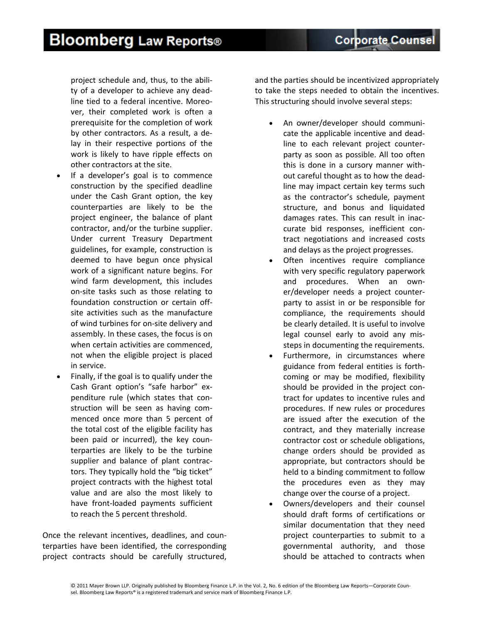# **Bloomberg Law Reports®**

project schedule and, thus, to the abili‐ ty of a developer to achieve any dead‐ line tied to a federal incentive. Moreo‐ ver, their completed work is often a prerequisite for the completion of work by other contractors. As a result, a de‐ lay in their respective portions of the work is likely to have ripple effects on other contractors at the site.

- If a developer's goal is to commence construction by the specified deadline under the Cash Grant option, the key counterparties are likely to be the project engineer, the balance of plant contractor, and/or the turbine supplier. Under current Treasury Department guidelines, for example, construction is deemed to have begun once physical work of a significant nature begins. For wind farm development, this includes on‐site tasks such as those relating to foundation construction or certain off‐ site activities such as the manufacture of wind turbines for on‐site delivery and assembly. In these cases, the focus is on when certain activities are commenced, not when the eligible project is placed in service.
- Finally, if the goal is to qualify under the Cash Grant option's "safe harbor" ex‐ penditure rule (which states that con‐ struction will be seen as having com‐ menced once more than 5 percent of the total cost of the eligible facility has been paid or incurred), the key counterparties are likely to be the turbine supplier and balance of plant contrac‐ tors. They typically hold the "big ticket" project contracts with the highest total value and are also the most likely to have front‐loaded payments sufficient to reach the 5 percent threshold.

Once the relevant incentives, deadlines, and coun‐ terparties have been identified, the corresponding project contracts should be carefully structured, and the parties should be incentivized appropriately to take the steps needed to obtain the incentives. This structuring should involve several steps:

- An owner/developer should communicate the applicable incentive and dead‐ line to each relevant project counter‐ party as soon as possible. All too often this is done in a cursory manner with‐ out careful thought as to how the dead‐ line may impact certain key terms such as the contractor's schedule, payment structure, and bonus and liquidated damages rates. This can result in inac‐ curate bid responses, inefficient con‐ tract negotiations and increased costs and delays as the project progresses.
- Often incentives require compliance with very specific regulatory paperwork and procedures. When an own‐ er/developer needs a project counter‐ party to assist in or be responsible for compliance, the requirements should be clearly detailed. It is useful to involve legal counsel early to avoid any mis‐ steps in documenting the requirements.
- Furthermore, in circumstances where guidance from federal entities is forth‐ coming or may be modified, flexibility should be provided in the project con‐ tract for updates to incentive rules and procedures. If new rules or procedures are issued after the execution of the contract, and they materially increase contractor cost or schedule obligations, change orders should be provided as appropriate, but contractors should be held to a binding commitment to follow the procedures even as they may change over the course of a project.
- Owners/developers and their counsel should draft forms of certifications or similar documentation that they need project counterparties to submit to a governmental authority, and those should be attached to contracts when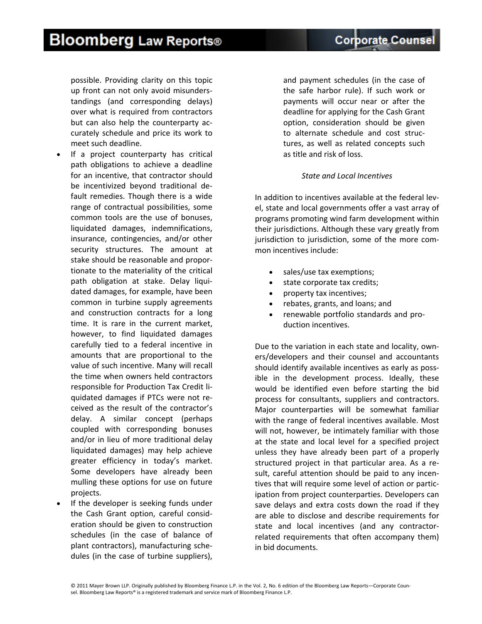© 2011 Mayer Brown LLP. Originally published by Bloomberg Finance L.P. in the Vol. 2, No. 6 edition of the Bloomberg Law Reports—Corporate Coun‐ sel. Bloomberg Law Reports® is a registered trademark and service mark of Bloomberg Finance L.P.

## **Bloomberg Law Reports®**

possible. Providing clarity on this topic up front can not only avoid misunders‐ tandings (and corresponding delays) over what is required from contractors but can also help the counterparty ac‐ curately schedule and price its work to meet such deadline.

- If a project counterparty has critical path obligations to achieve a deadline for an incentive, that contractor should be incentivized beyond traditional de‐ fault remedies. Though there is a wide range of contractual possibilities, some common tools are the use of bonuses, liquidated damages, indemnifications, insurance, contingencies, and/or other security structures. The amount at stake should be reasonable and propor‐ tionate to the materiality of the critical path obligation at stake. Delay liqui‐ dated damages, for example, have been common in turbine supply agreements and construction contracts for a long time. It is rare in the current market, however, to find liquidated damages carefully tied to a federal incentive in amounts that are proportional to the value of such incentive. Many will recall the time when owners held contractors responsible for Production Tax Credit li‐ quidated damages if PTCs were not re‐ ceived as the result of the contractor's delay. A similar concept (perhaps coupled with corresponding bonuses and/or in lieu of more traditional delay liquidated damages) may help achieve greater efficiency in today's market. Some developers have already been mulling these options for use on future projects.
- If the developer is seeking funds under the Cash Grant option, careful consid‐ eration should be given to construction schedules (in the case of balance of plant contractors), manufacturing sche‐ dules (in the case of turbine suppliers),

and payment schedules (in the case of the safe harbor rule). If such work or payments will occur near or after the deadline for applying for the Cash Grant option, consideration should be given to alternate schedule and cost struc‐ tures, as well as related concepts such as title and risk of loss.

### *State and Local Incentives*

In addition to incentives available at the federal lev‐ el, state and local governments offer a vast array of programs promoting wind farm development within their jurisdictions. Although these vary greatly from jurisdiction to jurisdiction, some of the more common incentives include:

- sales/use tax exemptions;
- state corporate tax credits;
- property tax incentives;
- rebates, grants, and loans; and
- renewable portfolio standards and pro‐ duction incentives.

Due to the variation in each state and locality, own‐ ers/developers and their counsel and accountants should identify available incentives as early as poss‐ ible in the development process. Ideally, these would be identified even before starting the bid process for consultants, suppliers and contractors. Major counterparties will be somewhat familiar with the range of federal incentives available. Most will not, however, be intimately familiar with those at the state and local level for a specified project unless they have already been part of a properly structured project in that particular area. As a re‐ sult, careful attention should be paid to any incentives that will require some level of action or partic‐ ipation from project counterparties. Developers can save delays and extra costs down the road if they are able to disclose and describe requirements for state and local incentives (and any contractor‐ related requirements that often accompany them) in bid documents.